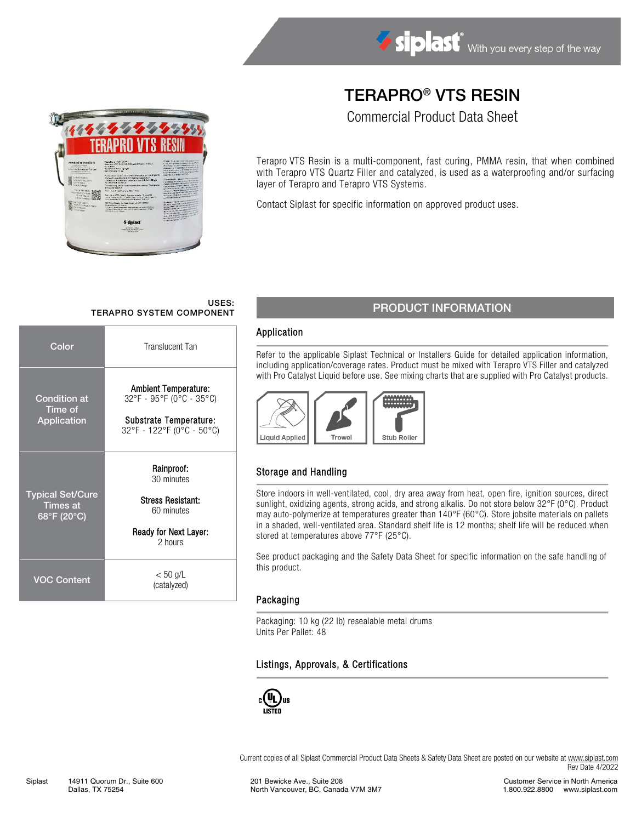## TERAPRO® VTS RESIN

Commercial Product Data Sheet

Terapro VTS Resin is a multi-component, fast curing, PMMA resin, that when combined with Terapro VTS Quartz Filler and catalyzed, is used as a waterproofing and/or surfacing layer of Terapro and Terapro VTS Systems.

Contact Siplast for specific information on approved product uses.

# USES:<br>TERAPRO SYSTEM COMPONENT

| Color                                                     | <b>Translucent Tan</b>                                                                                         |  |  |
|-----------------------------------------------------------|----------------------------------------------------------------------------------------------------------------|--|--|
| Condition at<br>Time of<br>Application                    | <b>Ambient Temperature:</b><br>32°F - 95°F (0°C - 35°C)<br>Substrate Temperature:<br>32°F - 122°F (0°C - 50°C) |  |  |
| <b>Typical Set/Cure</b><br><b>Times at</b><br>68°F (20°C) | Rainproof:<br>30 minutes<br><b>Stress Resistant:</b><br>60 minutes<br>Ready for Next Layer:<br>2 hours         |  |  |
| VOC Content                                               | $< 50$ g/L<br>(catalyzed)                                                                                      |  |  |

## PRODUCT INFORMATION

#### Application

Refer to the applicable Siplast Technical or Installers Guide for detailed application information, including application/coverage rates. Product must be mixed with Terapro VTS Filler and catalyzed with Pro Catalyst Liquid before use. See mixing charts that are supplied with Pro Catalyst products.



### Storage and Handling

Store indoors in well-ventilated, cool, dry area away from heat, open fire, ignition sources, direct sunlight, oxidizing agents, strong acids, and strong alkalis. Do not store below 32°F (0°C). Product may auto-polymerize at temperatures greater than 140°F (60°C). Store jobsite materials on pallets in a shaded, well-ventilated area. Standard shelf life is 12 months; shelf life will be reduced when stored at temperatures above 77°F (25°C).

See product packaging and the Safety Data Sheet for specific information on the safe handling of this product.

#### Packaging

Packaging: 10 kg (22 lb) resealable metal drums Units Per Pallet: 48

#### Listings, Approvals, & Certifications



Current copies of all Siplast Commercial Product Data Sheets & Safety Data Sheet are posted on our website a[t www.siplast.com](http://www.siplast.com/) Rev Date 4/2022